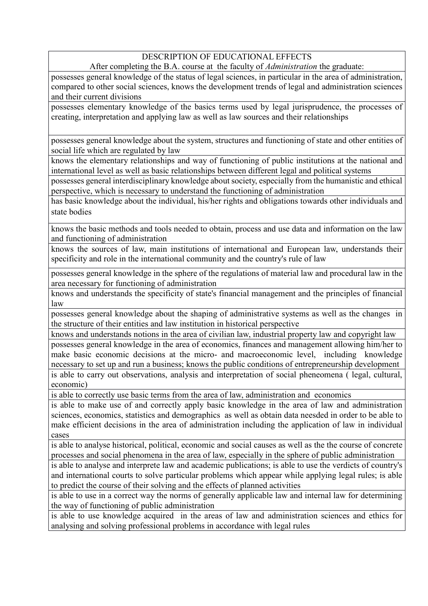## DESCRIPTION OF EDUCATIONAL EFFECTS

After completing the B.A. course at the faculty of *Administration* the graduate:

possesses general knowledge of the status of legal sciences, in particular in the area of administration, compared to other social sciences, knows the development trends of legal and administration sciences and their current divisions

possesses elementary knowledge of the basics terms used by legal jurisprudence, the processes of creating, interpretation and applying law as well as law sources and their relationships

possesses general knowledge about the system, structures and functioning of state and other entities of social life which are regulated by law

knows the elementary relationships and way of functioning of public institutions at the national and international level as well as basic relationships between different legal and political systems

possesses general interdisciplinary knowledge about society, especially from the humanistic and ethical perspective, which is necessary to understand the functioning of administration

has basic knowledge about the individual, his/her rights and obligations towards other individuals and state bodies

knows the basic methods and tools needed to obtain, process and use data and information on the law and functioning of administration

knows the sources of law, main institutions of international and European law, understands their specificity and role in the international community and the country's rule of law

possesses general knowledge in the sphere of the regulations of material law and procedural law in the area necessary for functioning of administration

knows and understands the specificity of state's financial management and the principles of financial law

possesses general knowledge about the shaping of administrative systems as well as the changes in the structure of their entities and law institution in historical perspective

knows and understands notions in the area of civilian law, industrial property law and copyright law possesses general knowledge in the area of economics, finances and management allowing him/her to make basic economic decisions at the micro- and macroeconomic level, including knowledge necessary to set up and run a business; knows the public conditions of entrepreneurship development is able to carry out observations, analysis and interpretation of social pheneomena ( legal, cultural, economic)

is able to correctly use basic terms from the area of law, administration and economics

is able to make use of and correctly apply basic knowledge in the area of law and administration sciences, economics, statistics and demographics as well as obtain data neesded in order to be able to make efficient decisions in the area of administration including the application of law in individual cases

is able to analyse historical, political, economic and social causes as well as the the course of concrete processes and social phenomena in the area of law, especially in the sphere of public administration

is able to analyse and interprete law and academic publications; is able to use the verdicts of country's and international courts to solve particular problems which appear while applying legal rules; is able to predict the course of their solving and the effects of planned activities

is able to use in a correct way the norms of generally applicable law and internal law for determining the way of functioning of public administration

is able to use knowledge acquired in the areas of law and administration sciences and ethics for analysing and solving professional problems in accordance with legal rules